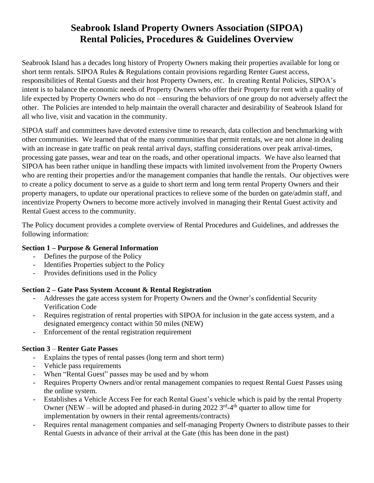# **Seabrook Island Property Owners Association (SIPOA) Rental Policies, Procedures & Guidelines Overview**

Seabrook Island has a decades long history of Property Owners making their properties available for long or short term rentals. SIPOA Rules & Regulations contain provisions regarding Renter Guest access, responsibilities of Rental Guests and their host Property Owners, etc. In creating Rental Policies, SIPOA's intent is to balance the economic needs of Property Owners who offer their Property for rent with a quality of life expected by Property Owners who do not – ensuring the behaviors of one group do not adversely affect the other. The Policies are intended to help maintain the overall character and desirability of Seabrook Island for all who live, visit and vacation in the community.

SIPOA staff and committees have devoted extensive time to research, data collection and benchmarking with other communities. We learned that of the many communities that permit rentals, we are not alone in dealing with an increase in gate traffic on peak rental arrival days, staffing considerations over peak arrival-times, processing gate passes, wear and tear on the roads, and other operational impacts. We have also learned that SIPOA has been rather unique in handling these impacts with limited involvement from the Property Owners who are renting their properties and/or the management companies that handle the rentals. Our objectives were to create a policy document to serve as a guide to short term and long term rental Property Owners and their property managers, to update our operational practices to relieve some of the burden on gate/admin staff, and incentivize Property Owners to become more actively involved in managing their Rental Guest activity and Rental Guest access to the community.

The Policy document provides a complete overview of Rental Procedures and Guidelines, and addresses the following information:

#### **Section 1 – Purpose & General Information**

- Defines the purpose of the Policy
- Identifies Properties subject to the Policy
- Provides definitions used in the Policy

#### **Section 2 – Gate Pass System Account & Rental Registration**

- Addresses the gate access system for Property Owners and the Owner's confidential Security Verification Code
- Requires registration of rental properties with SIPOA for inclusion in the gate access system, and a designated emergency contact within 50 miles (NEW)
- Enforcement of the rental registration requirement

#### **Section 3** – **Renter Gate Passes**

- Explains the types of rental passes (long term and short term)
- Vehicle pass requirements
- When "Rental Guest" passes may be used and by whom
- Requires Property Owners and/or rental management companies to request Rental Guest Passes using the online system.
- Establishes a Vehicle Access Fee for each Rental Guest's vehicle which is paid by the rental Property Owner (NEW – will be adopted and phased-in during 2022  $3<sup>rd</sup>$ -4<sup>th</sup> quarter to allow time for implementation by owners in their rental agreements/contracts)
- Requires rental management companies and self-managing Property Owners to distribute passes to their Rental Guests in advance of their arrival at the Gate (this has been done in the past)